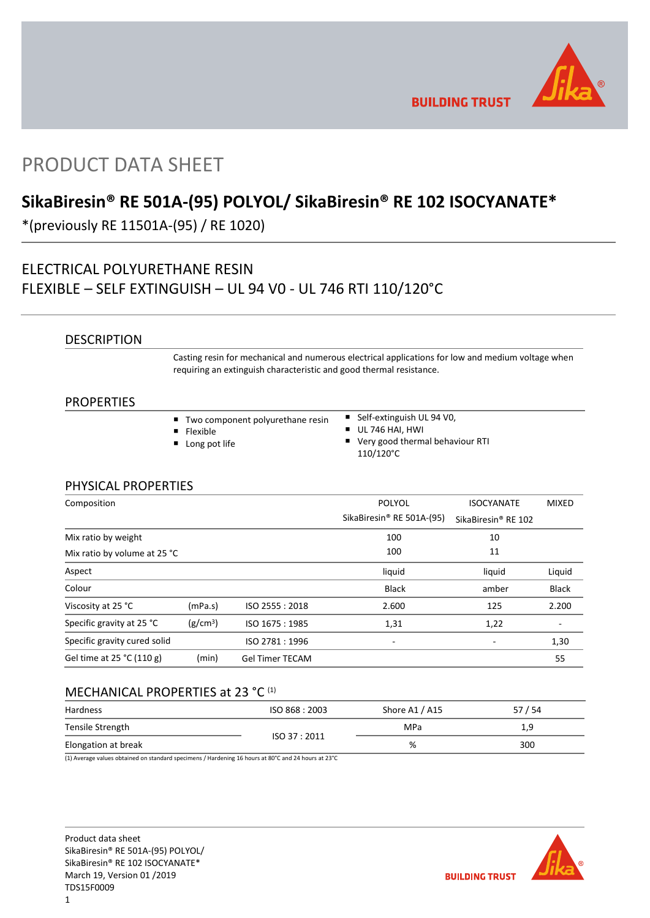

**BUILDING TRUST** 

# PRODUCT DATA SHEET

# **SikaBiresin® RE 501A-(95) POLYOL/ SikaBiresin® RE 102 ISOCYANATE\***

\*(previously RE 11501A-(95) / RE 1020)

# ELECTRICAL POLYURETHANE RESIN FLEXIBLE – SELF EXTINGUISH – UL 94 V0 - UL 746 RTI 110/120°C

### **DESCRIPTION**

Casting resin for mechanical and numerous electrical applications for low and medium voltage when requiring an extinguish characteristic and good thermal resistance.

### PROPERTIES

| ■ Two component polyurethane resin | ■ Self-extinguish UL 94 V0,                                 |  |
|------------------------------------|-------------------------------------------------------------|--|
| $\blacksquare$ Flexible            | $\blacksquare$ UL 746 HAI. HWI                              |  |
| <b>Long pot life</b>               | $\blacksquare$ Very good thermal behaviour RTI<br>110/120°C |  |

### PHYSICAL PROPERTIES

| Composition                  |                      |                        | <b>POLYOL</b><br>SikaBiresin <sup>®</sup> RE 501A-(95) | <b>ISOCYANATE</b><br>SikaBiresin <sup>®</sup> RE 102 | <b>MIXED</b> |
|------------------------------|----------------------|------------------------|--------------------------------------------------------|------------------------------------------------------|--------------|
| Mix ratio by weight          |                      |                        | 100                                                    | 10                                                   |              |
| Mix ratio by volume at 25 °C |                      |                        | 100                                                    | 11                                                   |              |
| Aspect                       |                      |                        | liquid                                                 | liquid                                               | Liquid       |
| Colour                       |                      |                        | <b>Black</b>                                           | amber                                                | <b>Black</b> |
| Viscosity at 25 °C           | (mPa.s)              | ISO 2555: 2018         | 2.600                                                  | 125                                                  | 2.200        |
| Specific gravity at 25 °C    | (g/cm <sup>3</sup> ) | ISO 1675: 1985         | 1,31                                                   | 1,22                                                 |              |
| Specific gravity cured solid |                      | ISO 2781:1996          | ٠                                                      |                                                      | 1,30         |
| Gel time at 25 °C (110 g)    | (min)                | <b>Gel Timer TECAM</b> |                                                        |                                                      | 55           |

## MECHANICAL PROPERTIES at 23 °C (1)

| Hardness            | ISO 868 : 2003 | Shore A1 / A15 | 57/54 |
|---------------------|----------------|----------------|-------|
| Tensile Strength    | ISO 37:2011    | <b>MPa</b>     | 1,9   |
| Elongation at break |                | %              | 300   |

(1) Average values obtained on standard specimens / Hardening 16 hours at 80°C and 24 hours at 23°C

Product data sheet SikaBiresin® RE 501A-(95) POLYOL/ SikaBiresin® RE 102 ISOCYANATE\* March 19, Version 01 /2019 TDS15F0009

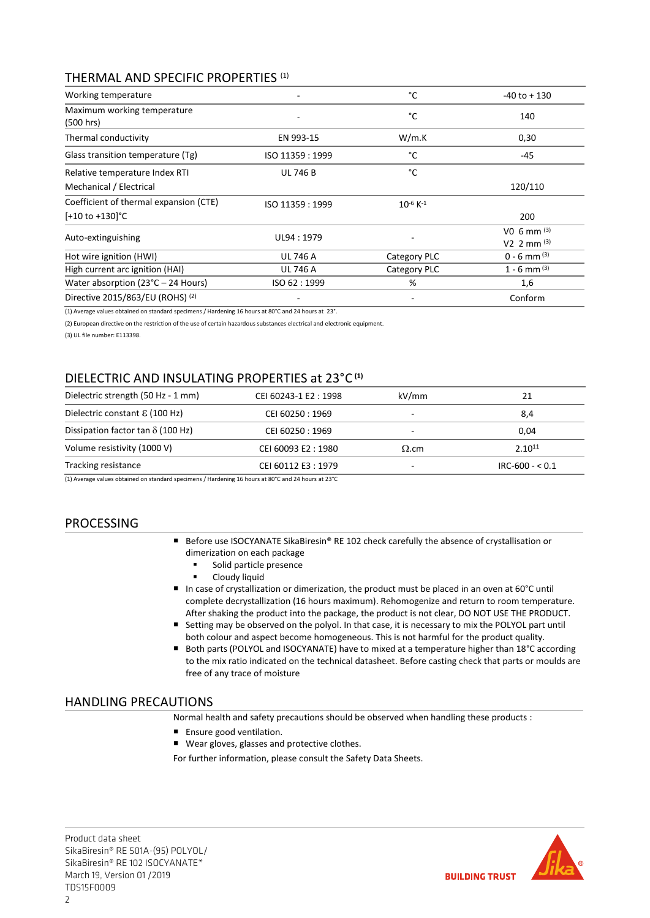## THERMAL AND SPECIFIC PROPERTIES (1)

| Working temperature                           |                  | °C                  | $-40$ to $+130$                  |
|-----------------------------------------------|------------------|---------------------|----------------------------------|
| Maximum working temperature<br>(500 hrs)      |                  | °C                  | 140                              |
| Thermal conductivity                          | EN 993-15        | W/m.K               | 0,30                             |
| Glass transition temperature (Tg)             | ISO 11359 : 1999 | °C                  | $-45$                            |
| Relative temperature Index RTI                | <b>UL 746 B</b>  | °C                  |                                  |
| Mechanical / Electrical                       |                  |                     | 120/110                          |
| Coefficient of thermal expansion (CTE)        | ISO 11359: 1999  | $10^{-6}$ K $^{-1}$ |                                  |
| $[-10 \text{ to } +130]$ °C                   |                  |                     | 200                              |
| Auto-extinguishing                            | UL94: 1979       |                     | $VO$ 6 mm $(3)$<br>V2 2 mm $(3)$ |
| Hot wire ignition (HWI)                       | <b>UL 746 A</b>  | Category PLC        | $0 - 6$ mm $(3)$                 |
| High current arc ignition (HAI)               | <b>UL 746 A</b>  | Category PLC        | $1 - 6$ mm $^{(3)}$              |
| Water absorption ( $23^{\circ}$ C – 24 Hours) | ISO 62:1999      | %                   | 1,6                              |
| Directive 2015/863/EU (ROHS) <sup>(2)</sup>   |                  |                     | Conform                          |

(1) Average values obtained on standard specimens / Hardening 16 hours at 80°C and 24 hours at 23°.

(2) European directive on the restriction of the use of certain hazardous substances electrical and electronic equipment.

(3) UL file number: E113398.

# DIELECTRIC AND INSULATING PROPERTIES at 23°C **(1)**

| Dielectric strength (50 Hz - 1 mm)        | CEI 60243-1 E2: 1998 | kV/mm        | 21              |
|-------------------------------------------|----------------------|--------------|-----------------|
| Dielectric constant $\mathcal E$ (100 Hz) | CEI 60250 : 1969     |              | 8,4             |
| Dissipation factor tan $\delta$ (100 Hz)  | CEI 60250 : 1969     | -            | 0,04            |
| Volume resistivity (1000 V)               | CEI 60093 E2:1980    | $\Omega$ .cm | $2.10^{11}$     |
| Tracking resistance                       | CEI 60112 E3:1979    |              | $IRC-600 - 0.1$ |

(1) Average values obtained on standard specimens / Hardening 16 hours at 80°C and 24 hours at 23°C

## PROCESSING

- Before use ISOCYANATE SikaBiresin® RE 102 check carefully the absence of crystallisation or dimerization on each package
	- **Solid particle presence**
	- **-** Cloudy liquid
- In case of crystallization or dimerization, the product must be placed in an oven at 60°C until complete decrystallization (16 hours maximum). Rehomogenize and return to room temperature. After shaking the product into the package, the product is not clear, DO NOT USE THE PRODUCT.
- Setting may be observed on the polyol. In that case, it is necessary to mix the POLYOL part until both colour and aspect become homogeneous. This is not harmful for the product quality.
- Both parts (POLYOL and ISOCYANATE) have to mixed at a temperature higher than 18°C according to the mix ratio indicated on the technical datasheet. Before casting check that parts or moulds are free of any trace of moisture

### HANDLING PRECAUTIONS

Normal health and safety precautions should be observed when handling these products :

- Ensure good ventilation.
- Wear gloves, glasses and protective clothes.

For further information, please consult the Safety Data Sheets.

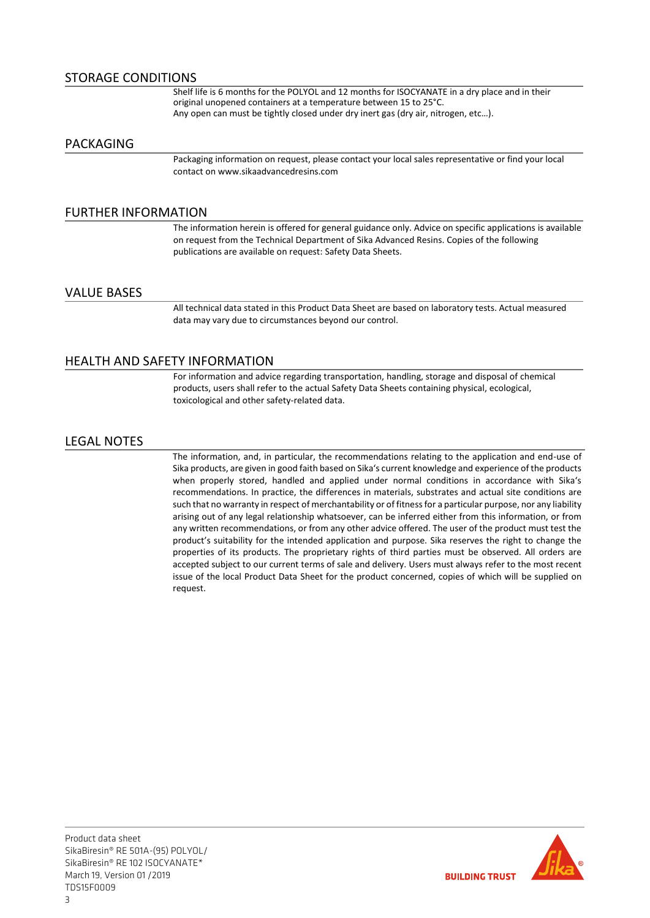### STORAGE CONDITIONS

Shelf life is 6 months for the POLYOL and 12 months for ISOCYANATE in a dry place and in their original unopened containers at a temperature between 15 to 25°C. Any open can must be tightly closed under dry inert gas (dry air, nitrogen, etc…).

### PACKAGING

Packaging information on request, please contact your local sales representative or find your local contact on www.sikaadvancedresins.com

### FURTHER INFORMATION

The information herein is offered for general guidance only. Advice on specific applications is available on request from the Technical Department of Sika Advanced Resins. Copies of the following publications are available on request: Safety Data Sheets.

### VALUE BASES

All technical data stated in this Product Data Sheet are based on laboratory tests. Actual measured data may vary due to circumstances beyond our control.

### HEALTH AND SAFETY INFORMATION

For information and advice regarding transportation, handling, storage and disposal of chemical products, users shall refer to the actual Safety Data Sheets containing physical, ecological, toxicological and other safety-related data.

### LEGAL NOTES

The information, and, in particular, the recommendations relating to the application and end-use of Sika products, are given in good faith based on Sika's current knowledge and experience of the products when properly stored, handled and applied under normal conditions in accordance with Sika's recommendations. In practice, the differences in materials, substrates and actual site conditions are such that no warranty in respect of merchantability or of fitness for a particular purpose, nor any liability arising out of any legal relationship whatsoever, can be inferred either from this information, or from any written recommendations, or from any other advice offered. The user of the product must test the product's suitability for the intended application and purpose. Sika reserves the right to change the properties of its products. The proprietary rights of third parties must be observed. All orders are accepted subject to our current terms of sale and delivery. Users must always refer to the most recent issue of the local Product Data Sheet for the product concerned, copies of which will be supplied on request.